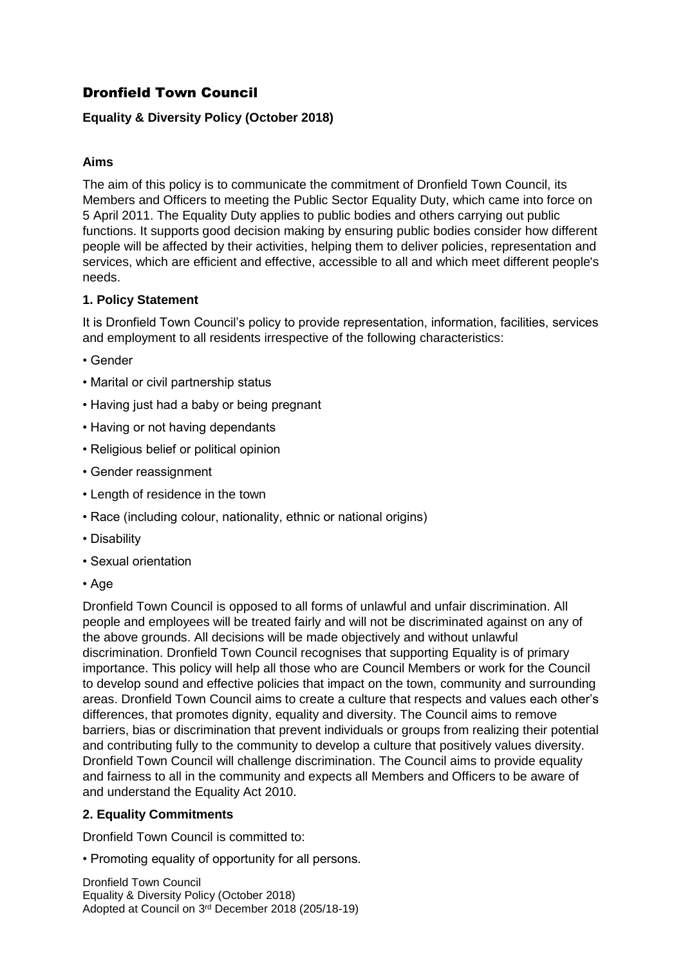# Dronfield Town Council

## **Equality & Diversity Policy (October 2018)**

## **Aims**

The aim of this policy is to communicate the commitment of Dronfield Town Council, its Members and Officers to meeting the Public Sector Equality Duty, which came into force on 5 April 2011. The Equality Duty applies to public bodies and others carrying out public functions. It supports good decision making by ensuring public bodies consider how different people will be affected by their activities, helping them to deliver policies, representation and services, which are efficient and effective, accessible to all and which meet different people's needs.

### **1. Policy Statement**

It is Dronfield Town Council's policy to provide representation, information, facilities, services and employment to all residents irrespective of the following characteristics:

- Gender
- Marital or civil partnership status
- Having just had a baby or being pregnant
- Having or not having dependants
- Religious belief or political opinion
- Gender reassignment
- Length of residence in the town
- Race (including colour, nationality, ethnic or national origins)
- Disability
- Sexual orientation
- Age

Dronfield Town Council is opposed to all forms of unlawful and unfair discrimination. All people and employees will be treated fairly and will not be discriminated against on any of the above grounds. All decisions will be made objectively and without unlawful discrimination. Dronfield Town Council recognises that supporting Equality is of primary importance. This policy will help all those who are Council Members or work for the Council to develop sound and effective policies that impact on the town, community and surrounding areas. Dronfield Town Council aims to create a culture that respects and values each other's differences, that promotes dignity, equality and diversity. The Council aims to remove barriers, bias or discrimination that prevent individuals or groups from realizing their potential and contributing fully to the community to develop a culture that positively values diversity. Dronfield Town Council will challenge discrimination. The Council aims to provide equality and fairness to all in the community and expects all Members and Officers to be aware of and understand the Equality Act 2010.

#### **2. Equality Commitments**

Dronfield Town Council is committed to:

• Promoting equality of opportunity for all persons.

Dronfield Town Council Equality & Diversity Policy (October 2018) Adopted at Council on 3<sup>rd</sup> December 2018 (205/18-19)